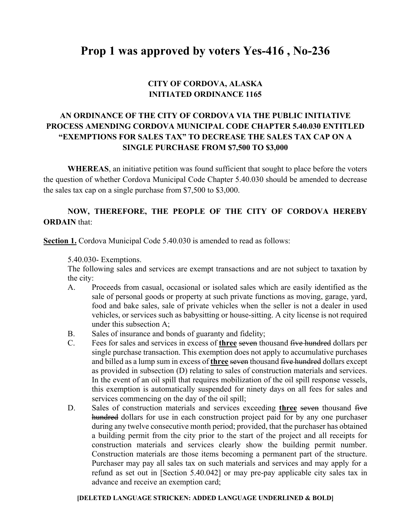# **Prop 1 was approved by voters Yes-416 , No-236**

## **CITY OF CORDOVA, ALASKA INITIATED ORDINANCE 1165**

# **AN ORDINANCE OF THE CITY OF CORDOVA VIA THE PUBLIC INITIATIVE PROCESS AMENDING CORDOVA MUNICIPAL CODE CHAPTER 5.40.030 ENTITLED "EXEMPTIONS FOR SALES TAX" TO DECREASE THE SALES TAX CAP ON A SINGLE PURCHASE FROM \$7,500 TO \$3,000**

 **WHEREAS**, an initiative petition was found sufficient that sought to place before the voters the question of whether Cordova Municipal Code Chapter 5.40.030 should be amended to decrease the sales tax cap on a single purchase from \$7,500 to \$3,000.

## **NOW, THEREFORE, THE PEOPLE OF THE CITY OF CORDOVA HEREBY ORDAIN** that:

**Section 1.** Cordova Municipal Code 5.40.030 is amended to read as follows:

5.40.030- Exemptions.

The following sales and services are exempt transactions and are not subject to taxation by the city:

- A. Proceeds from casual, occasional or isolated sales which are easily identified as the sale of personal goods or property at such private functions as moving, garage, yard, food and bake sales, sale of private vehicles when the seller is not a dealer in used vehicles, or services such as babysitting or house-sitting. A city license is not required under this subsection A;
- B. Sales of insurance and bonds of guaranty and fidelity;
- C. Fees for sales and services in excess of **three** seven thousand five hundred dollars per single purchase transaction. This exemption does not apply to accumulative purchases and billed as a lump sum in excess of **three** seven thousand five hundred dollars except as provided in subsection (D) relating to sales of construction materials and services. In the event of an oil spill that requires mobilization of the oil spill response vessels, this exemption is automatically suspended for ninety days on all fees for sales and services commencing on the day of the oil spill;
- D. Sales of construction materials and services exceeding **three** seven thousand five hundred dollars for use in each construction project paid for by any one purchaser during any twelve consecutive month period; provided, that the purchaser has obtained a building permit from the city prior to the start of the project and all receipts for construction materials and services clearly show the building permit number. Construction materials are those items becoming a permanent part of the structure. Purchaser may pay all sales tax on such materials and services and may apply for a refund as set out in [Section 5.40.042] or may pre-pay applicable city sales tax in advance and receive an exemption card;

#### **[DELETED LANGUAGE STRICKEN: ADDED LANGUAGE UNDERLINED & BOLD]**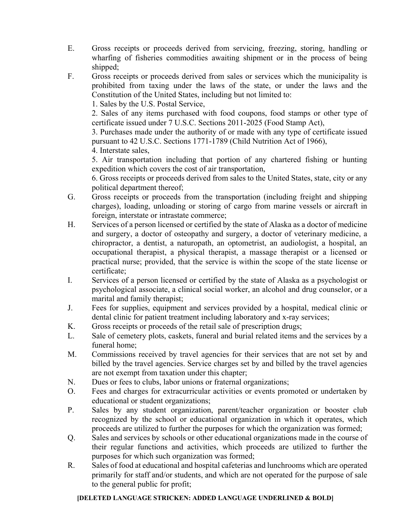- E. Gross receipts or proceeds derived from servicing, freezing, storing, handling or wharfing of fisheries commodities awaiting shipment or in the process of being shipped;
- F. Gross receipts or proceeds derived from sales or services which the municipality is prohibited from taxing under the laws of the state, or under the laws and the Constitution of the United States, including but not limited to:
	- 1. Sales by the U.S. Postal Service,

2. Sales of any items purchased with food coupons, food stamps or other type of certificate issued under 7 U.S.C. Sections 2011-2025 (Food Stamp Act),

3. Purchases made under the authority of or made with any type of certificate issued pursuant to 42 U.S.C. Sections 1771-1789 (Child Nutrition Act of 1966),

4. Interstate sales,

5. Air transportation including that portion of any chartered fishing or hunting expedition which covers the cost of air transportation,

6. Gross receipts or proceeds derived from sales to the United States, state, city or any political department thereof;

- G. Gross receipts or proceeds from the transportation (including freight and shipping charges), loading, unloading or storing of cargo from marine vessels or aircraft in foreign, interstate or intrastate commerce;
- H. Services of a person licensed or certified by the state of Alaska as a doctor of medicine and surgery, a doctor of osteopathy and surgery, a doctor of veterinary medicine, a chiropractor, a dentist, a naturopath, an optometrist, an audiologist, a hospital, an occupational therapist, a physical therapist, a massage therapist or a licensed or practical nurse; provided, that the service is within the scope of the state license or certificate;
- I. Services of a person licensed or certified by the state of Alaska as a psychologist or psychological associate, a clinical social worker, an alcohol and drug counselor, or a marital and family therapist;
- J. Fees for supplies, equipment and services provided by a hospital, medical clinic or dental clinic for patient treatment including laboratory and x-ray services;
- K. Gross receipts or proceeds of the retail sale of prescription drugs;
- L. Sale of cemetery plots, caskets, funeral and burial related items and the services by a funeral home;
- M. Commissions received by travel agencies for their services that are not set by and billed by the travel agencies. Service charges set by and billed by the travel agencies are not exempt from taxation under this chapter;
- N. Dues or fees to clubs, labor unions or fraternal organizations;
- O. Fees and charges for extracurricular activities or events promoted or undertaken by educational or student organizations;
- P. Sales by any student organization, parent/teacher organization or booster club recognized by the school or educational organization in which it operates, which proceeds are utilized to further the purposes for which the organization was formed;
- Q. Sales and services by schools or other educational organizations made in the course of their regular functions and activities, which proceeds are utilized to further the purposes for which such organization was formed;
- R. Sales of food at educational and hospital cafeterias and lunchrooms which are operated primarily for staff and/or students, and which are not operated for the purpose of sale to the general public for profit;

### **[DELETED LANGUAGE STRICKEN: ADDED LANGUAGE UNDERLINED & BOLD]**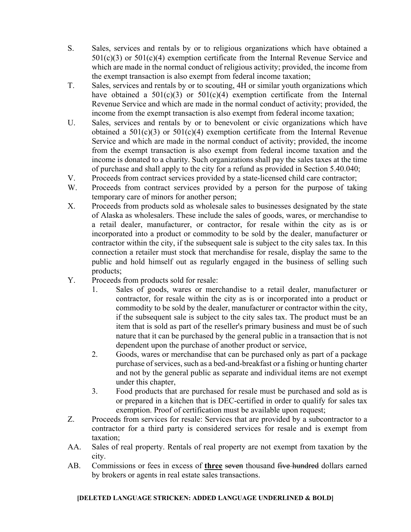- S. Sales, services and rentals by or to religious organizations which have obtained a  $501(c)(3)$  or  $501(c)(4)$  exemption certificate from the Internal Revenue Service and which are made in the normal conduct of religious activity; provided, the income from the exempt transaction is also exempt from federal income taxation;
- T. Sales, services and rentals by or to scouting, 4H or similar youth organizations which have obtained a  $501(c)(3)$  or  $501(c)(4)$  exemption certificate from the Internal Revenue Service and which are made in the normal conduct of activity; provided, the income from the exempt transaction is also exempt from federal income taxation;
- U. Sales, services and rentals by or to benevolent or civic organizations which have obtained a  $501(c)(3)$  or  $501(c)(4)$  exemption certificate from the Internal Revenue Service and which are made in the normal conduct of activity; provided, the income from the exempt transaction is also exempt from federal income taxation and the income is donated to a charity. Such organizations shall pay the sales taxes at the time of purchase and shall apply to the city for a refund as provided in Section 5.40.040;
- V. Proceeds from contract services provided by a state-licensed child care contractor;
- W. Proceeds from contract services provided by a person for the purpose of taking temporary care of minors for another person;
- X. Proceeds from products sold as wholesale sales to businesses designated by the state of Alaska as wholesalers. These include the sales of goods, wares, or merchandise to a retail dealer, manufacturer, or contractor, for resale within the city as is or incorporated into a product or commodity to be sold by the dealer, manufacturer or contractor within the city, if the subsequent sale is subject to the city sales tax. In this connection a retailer must stock that merchandise for resale, display the same to the public and hold himself out as regularly engaged in the business of selling such products;
- Y. Proceeds from products sold for resale:
	- 1. Sales of goods, wares or merchandise to a retail dealer, manufacturer or contractor, for resale within the city as is or incorporated into a product or commodity to be sold by the dealer, manufacturer or contractor within the city, if the subsequent sale is subject to the city sales tax. The product must be an item that is sold as part of the reseller's primary business and must be of such nature that it can be purchased by the general public in a transaction that is not dependent upon the purchase of another product or service,
	- 2. Goods, wares or merchandise that can be purchased only as part of a package purchase of services, such as a bed-and-breakfast or a fishing or hunting charter and not by the general public as separate and individual items are not exempt under this chapter,
	- 3. Food products that are purchased for resale must be purchased and sold as is or prepared in a kitchen that is DEC-certified in order to qualify for sales tax exemption. Proof of certification must be available upon request;
- Z. Proceeds from services for resale: Services that are provided by a subcontractor to a contractor for a third party is considered services for resale and is exempt from taxation;
- AA. Sales of real property. Rentals of real property are not exempt from taxation by the city.
- AB. Commissions or fees in excess of **three** seven thousand five hundred dollars earned by brokers or agents in real estate sales transactions.

#### **[DELETED LANGUAGE STRICKEN: ADDED LANGUAGE UNDERLINED & BOLD]**